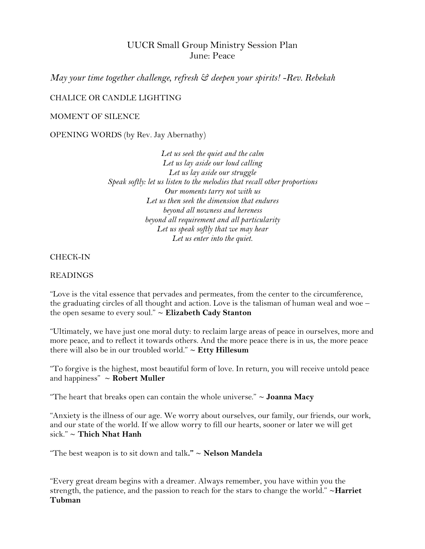# UUCR Small Group Ministry Session Plan June: Peace

*May your time together challenge, refresh & deepen your spirits! -Rev. Rebekah*

# CHALICE OR CANDLE LIGHTING

### MOMENT OF SILENCE

### OPENING WORDS (by Rev. Jay Abernathy)

*Let us seek the quiet and the calm Let us lay aside our loud calling Let us lay aside our struggle Speak softly: let us listen to the melodies that recall other proportions Our moments tarry not with us Let us then seek the dimension that endures beyond all nowness and hereness beyond all requirement and all particularity Let us speak softly that we may hear Let us enter into the quiet.*

#### CHECK-IN

#### READINGS

"Love is the vital essence that pervades and permeates, from the center to the circumference, the graduating circles of all thought and action. Love is the talisman of human weal and woe – the open sesame to every soul." **~ Elizabeth Cady Stanton**

"Ultimately, we have just one moral duty: to reclaim large areas of peace in ourselves, more and more peace, and to reflect it towards others. And the more peace there is in us, the more peace there will also be in our troubled world." **~ Etty Hillesum**

"To forgive is the highest, most beautiful form of love. In return, you will receive untold peace and happiness" **~ Robert Muller**

"The heart that breaks open can contain the whole universe." **~ Joanna Macy**

"Anxiety is the illness of our age. We worry about ourselves, our family, our friends, our work, and our state of the world. If we allow worry to fill our hearts, sooner or later we will get sick." **~ Thich Nhat Hanh**

"The best weapon is to sit down and talk**." ~ Nelson Mandela**

"Every great dream begins with a dreamer. Always remember, you have within you the strength, the patience, and the passion to reach for the stars to change the world." **~Harriet Tubman**